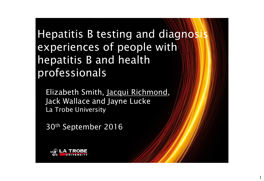Hepatitis B testing and diagnosis experiences of people with hepatitis B and health professionals

Elizabeth Smith, Jacqui Richmond, Jack Wallace and Jayne Lucke La Trobe University

30th September 2016

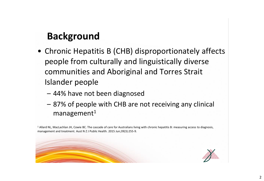## **Background**

- Chronic Hepatitis B (CHB) disproportionately affects people from culturally and linguistically diverse communities and Aboriginal and Torres Strait Islander people
	- 44% have not been diagnosed
	- 87% of people with CHB are not receiving any clinical  $m$ anagement $1$

 $1$  Allard NL, MacLachlan JH, Cowie BC. The cascade of care for Australians living with chronic hepatitis B: measuring access to diagnosis, management and treatment. Aust N Z J Public Health. 2015 Jun;39(3):255-9.

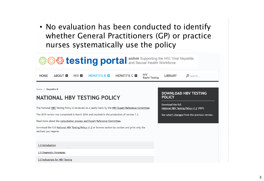• No evaluation has been conducted to identify whether General Practitioners (GP) or practice nurses systematically use the policy



1.0 Introduction

2.0 Diagnostic Strategies

3.0 Indications for HBV Testing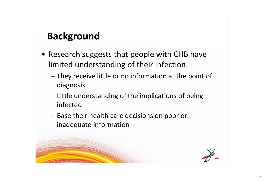# **Background**

- Research suggests that people with CHB have limited understanding of their infection:
	- They receive little or no information at the point of diagnosis
	- Little understanding of the implications of being infected
	- Base their health care decisions on poor or inadequate information

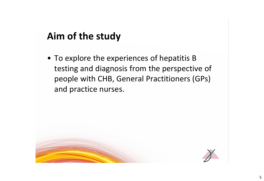## **Aim of the study**

• To explore the experiences of hepatitis B testing and diagnosis from the perspective of people with CHB, General Practitioners (GPs) and practice nurses.

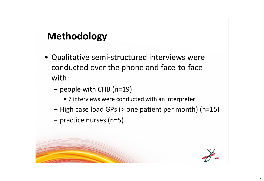# **Methodology**

- Qualitative semi-structured interviews were conducted over the phone and face-to-face with:
	- people with CHB (n=19)
		- 7 interviews were conducted with an interpreter
	- High case load GPs (> one patient per month) (n=15)
	- practice nurses (n=5)

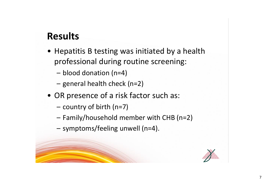- Hepatitis B testing was initiated by a health professional during routine screening:
	- blood donation (n=4)
	- general health check (n=2)
- OR presence of a risk factor such as:
	- country of birth (n=7)
	- Family/household member with CHB (n=2)
	- symptoms/feeling unwell (n=4).

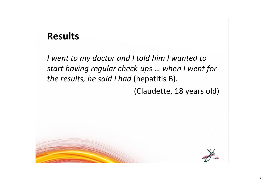*I went to my doctor and I told him I wanted to start having regular check-ups … when I went for the results, he said I had* (hepatitis B). (Claudette, 18 years old)

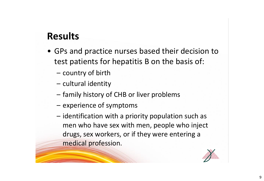- GPs and practice nurses based their decision to test patients for hepatitis B on the basis of:
	- country of birth
	- cultural identity
	- family history of CHB or liver problems
	- experience of symptoms
	- identification with a priority population such as men who have sex with men, people who inject drugs, sex workers, or if they were entering a medical profession.

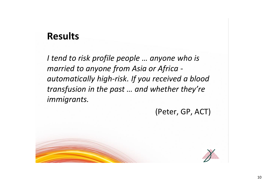*I tend to risk profile people … anyone who is married to anyone from Asia or Africa automatically high-risk. If you received a blood transfusion in the past … and whether they're immigrants.*

(Peter, GP, ACT)

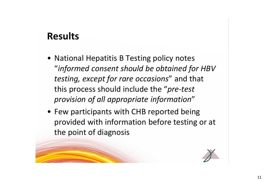- National Hepatitis B Testing policy notes "*informed consent should be obtained for HBV testing, except for rare occasions*" and that this process should include the "*pre-test provision of all appropriate information*"
- Few participants with CHB reported being provided with information before testing or at the point of diagnosis

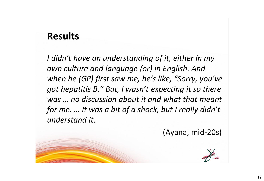*I didn't have an understanding of it, either in my own culture and language (or) in English. And when he (GP) first saw me, he's like, "Sorry, you've got hepatitis B." But, I wasn't expecting it so there was … no discussion about it and what that meant for me. … It was a bit of a shock, but I really didn't understand it.*

(Ayana, mid-20s)

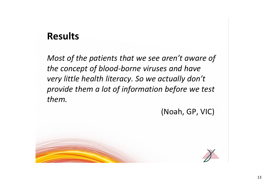*Most of the patients that we see aren't aware of the concept of blood-borne viruses and have very little health literacy. So we actually don't provide them a lot of information before we test them.* 

(Noah, GP, VIC)

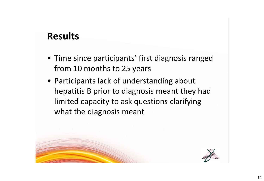- Time since participants' first diagnosis ranged from 10 months to 25 years
- Participants lack of understanding about hepatitis B prior to diagnosis meant they had limited capacity to ask questions clarifying what the diagnosis meant

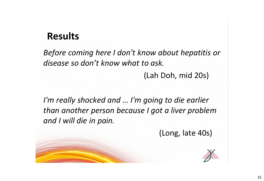*Before coming here I don't know about hepatitis or disease so don't know what to ask.*

(Lah Doh, mid 20s)

*I'm really shocked and … I'm going to die earlier than another person because I got a liver problem and I will die in pain.* 

(Long, late 40s)

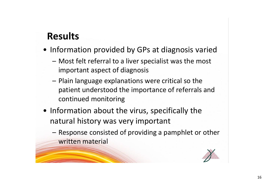- Information provided by GPs at diagnosis varied
	- Most felt referral to a liver specialist was the most important aspect of diagnosis
	- Plain language explanations were critical so the patient understood the importance of referrals and continued monitoring
- Information about the virus, specifically the natural history was very important
	- Response consisted of providing a pamphlet or other written material

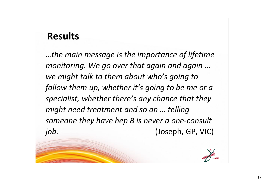*…the main message is the importance of lifetime monitoring. We go over that again and again … we might talk to them about who's going to follow them up, whether it's going to be me or a specialist, whether there's any chance that they might need treatment and so on … telling someone they have hep B is never a one-consult job.* (Joseph, GP, VIC)

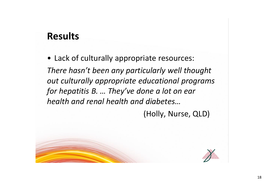• Lack of culturally appropriate resources: *There hasn't been any particularly well thought out culturally appropriate educational programs for hepatitis B. … They've done a lot on ear health and renal health and diabetes…*

(Holly, Nurse, QLD)

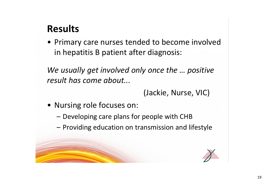• Primary care nurses tended to become involved in hepatitis B patient after diagnosis:

*We usually get involved only once the … positive result has come about...*

(Jackie, Nurse, VIC)

- Nursing role focuses on:
	- Developing care plans for people with CHB
	- Providing education on transmission and lifestyle

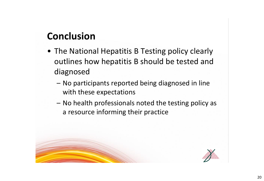# **Conclusion**

- The National Hepatitis B Testing policy clearly outlines how hepatitis B should be tested and diagnosed
	- No participants reported being diagnosed in line with these expectations
	- No health professionals noted the testing policy as a resource informing their practice

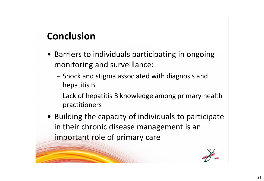## **Conclusion**

- Barriers to individuals participating in ongoing monitoring and surveillance:
	- Shock and stigma associated with diagnosis and hepatitis B
	- Lack of hepatitis B knowledge among primary health practitioners
- Building the capacity of individuals to participate in their chronic disease management is an important role of primary care